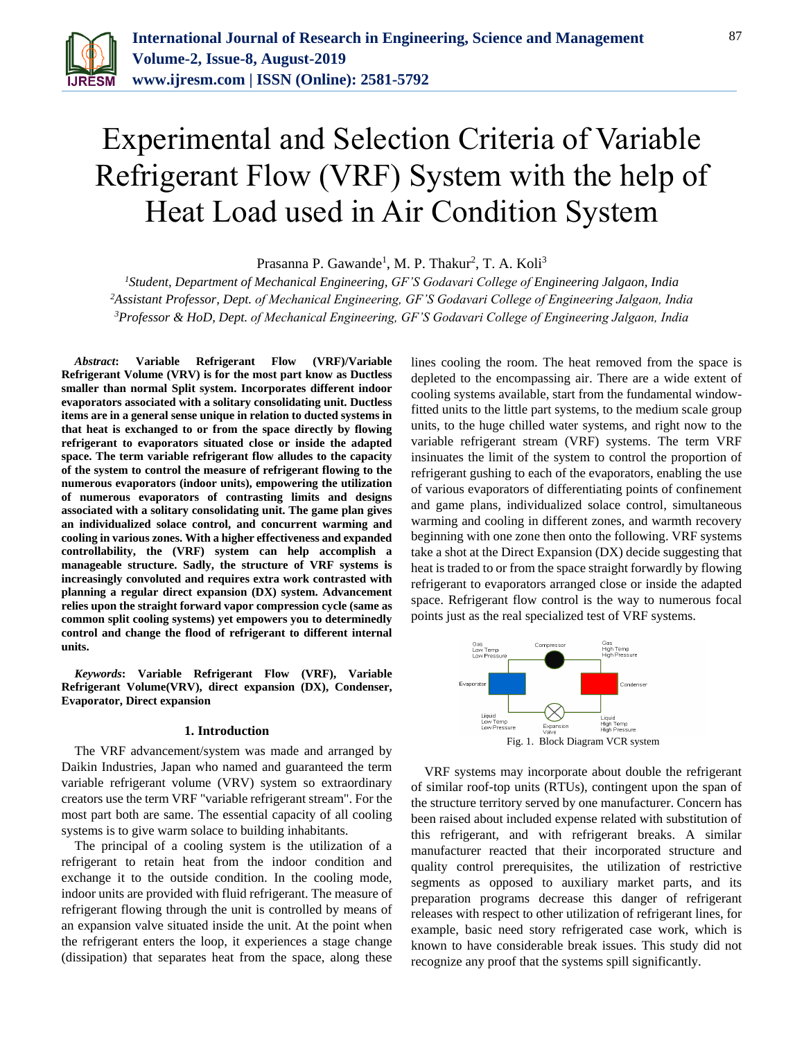

# Experimental and Selection Criteria of Variable Refrigerant Flow (VRF) System with the help of Heat Load used in Air Condition System

Prasanna P. Gawande<sup>1</sup>, M. P. Thakur<sup>2</sup>, T. A. Koli<sup>3</sup>

*<sup>1</sup>Student, Department of Mechanical Engineering, GF'S Godavari College of Engineering Jalgaon, India <sup>2</sup>Assistant Professor, Dept. of Mechanical Engineering, GF'S Godavari College of Engineering Jalgaon, India <sup>3</sup>Professor & HoD, Dept. of Mechanical Engineering, GF'S Godavari College of Engineering Jalgaon, India*

*Abstract***: Variable Refrigerant Flow (VRF)/Variable Refrigerant Volume (VRV) is for the most part know as Ductless smaller than normal Split system. Incorporates different indoor evaporators associated with a solitary consolidating unit. Ductless items are in a general sense unique in relation to ducted systems in that heat is exchanged to or from the space directly by flowing refrigerant to evaporators situated close or inside the adapted space. The term variable refrigerant flow alludes to the capacity of the system to control the measure of refrigerant flowing to the numerous evaporators (indoor units), empowering the utilization of numerous evaporators of contrasting limits and designs associated with a solitary consolidating unit. The game plan gives an individualized solace control, and concurrent warming and cooling in various zones. With a higher effectiveness and expanded controllability, the (VRF) system can help accomplish a manageable structure. Sadly, the structure of VRF systems is increasingly convoluted and requires extra work contrasted with planning a regular direct expansion (DX) system. Advancement relies upon the straight forward vapor compression cycle (same as common split cooling systems) yet empowers you to determinedly control and change the flood of refrigerant to different internal units.**

*Keywords***: Variable Refrigerant Flow (VRF), Variable Refrigerant Volume(VRV), direct expansion (DX), Condenser, Evaporator, Direct expansion**

### **1. Introduction**

The VRF advancement/system was made and arranged by Daikin Industries, Japan who named and guaranteed the term variable refrigerant volume (VRV) system so extraordinary creators use the term VRF "variable refrigerant stream". For the most part both are same. The essential capacity of all cooling systems is to give warm solace to building inhabitants.

The principal of a cooling system is the utilization of a refrigerant to retain heat from the indoor condition and exchange it to the outside condition. In the cooling mode, indoor units are provided with fluid refrigerant. The measure of refrigerant flowing through the unit is controlled by means of an expansion valve situated inside the unit. At the point when the refrigerant enters the loop, it experiences a stage change (dissipation) that separates heat from the space, along these lines cooling the room. The heat removed from the space is depleted to the encompassing air. There are a wide extent of cooling systems available, start from the fundamental windowfitted units to the little part systems, to the medium scale group units, to the huge chilled water systems, and right now to the variable refrigerant stream (VRF) systems. The term VRF insinuates the limit of the system to control the proportion of refrigerant gushing to each of the evaporators, enabling the use of various evaporators of differentiating points of confinement and game plans, individualized solace control, simultaneous warming and cooling in different zones, and warmth recovery beginning with one zone then onto the following. VRF systems take a shot at the Direct Expansion (DX) decide suggesting that heat is traded to or from the space straight forwardly by flowing refrigerant to evaporators arranged close or inside the adapted space. Refrigerant flow control is the way to numerous focal points just as the real specialized test of VRF systems.



VRF systems may incorporate about double the refrigerant of similar roof-top units (RTUs), contingent upon the span of the structure territory served by one manufacturer. Concern has been raised about included expense related with substitution of this refrigerant, and with refrigerant breaks. A similar manufacturer reacted that their incorporated structure and quality control prerequisites, the utilization of restrictive segments as opposed to auxiliary market parts, and its preparation programs decrease this danger of refrigerant releases with respect to other utilization of refrigerant lines, for example, basic need story refrigerated case work, which is known to have considerable break issues. This study did not recognize any proof that the systems spill significantly.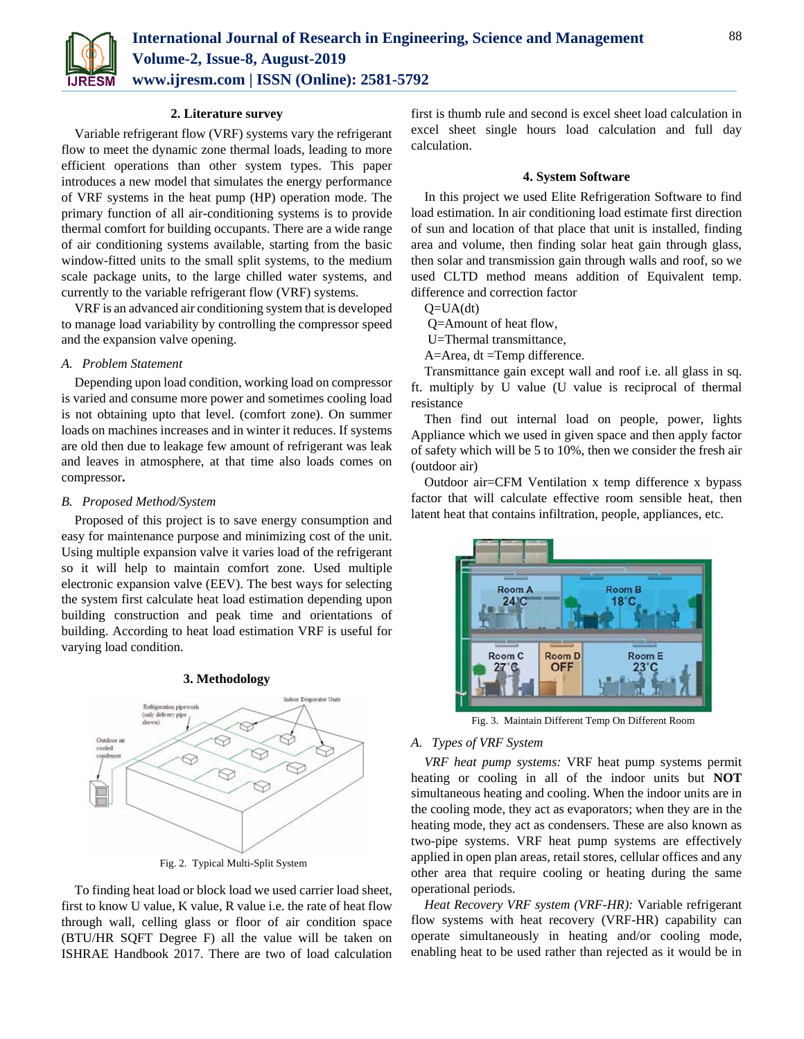

### **2. Literature survey**

Variable refrigerant flow (VRF) systems vary the refrigerant flow to meet the dynamic zone thermal loads, leading to more efficient operations than other system types. This paper introduces a new model that simulates the energy performance of VRF systems in the heat pump (HP) operation mode. The primary function of all air-conditioning systems is to provide thermal comfort for building occupants. There are a wide range of air conditioning systems available, starting from the basic window-fitted units to the small split systems, to the medium scale package units, to the large chilled water systems, and currently to the variable refrigerant flow (VRF) systems.

VRF is an advanced air conditioning system that is developed to manage load variability by controlling the compressor speed and the expansion valve opening.

## *A. Problem Statement*

Depending upon load condition, working load on compressor is varied and consume more power and sometimes cooling load is not obtaining upto that level. (comfort zone). On summer loads on machines increases and in winter it reduces. If systems are old then due to leakage few amount of refrigerant was leak and leaves in atmosphere, at that time also loads comes on compressor**.**

### *B. Proposed Method/System*

Proposed of this project is to save energy consumption and easy for maintenance purpose and minimizing cost of the unit. Using multiple expansion valve it varies load of the refrigerant so it will help to maintain comfort zone. Used multiple electronic expansion valve (EEV). The best ways for selecting the system first calculate heat load estimation depending upon building construction and peak time and orientations of building. According to heat load estimation VRF is useful for varying load condition.

**3. Methodology**



Fig. 2. Typical Multi-Split System

To finding heat load or block load we used carrier load sheet, first to know U value, K value, R value i.e. the rate of heat flow through wall, celling glass or floor of air condition space (BTU/HR SQFT Degree F) all the value will be taken on ISHRAE Handbook 2017. There are two of load calculation

first is thumb rule and second is excel sheet load calculation in excel sheet single hours load calculation and full day calculation.

### **4. System Software**

In this project we used Elite Refrigeration Software to find load estimation. In air conditioning load estimate first direction of sun and location of that place that unit is installed, finding area and volume, then finding solar heat gain through glass, then solar and transmission gain through walls and roof, so we used CLTD method means addition of Equivalent temp. difference and correction factor

 $Q=UA(dt)$ 

Q=Amount of heat flow,

U=Thermal transmittance,

A=Area, dt =Temp difference.

Transmittance gain except wall and roof i.e. all glass in sq. ft. multiply by U value (U value is reciprocal of thermal resistance

Then find out internal load on people, power, lights Appliance which we used in given space and then apply factor of safety which will be 5 to 10%, then we consider the fresh air (outdoor air)

Outdoor air=CFM Ventilation x temp difference x bypass factor that will calculate effective room sensible heat, then latent heat that contains infiltration, people, appliances, etc.



Fig. 3. Maintain Different Temp On Different Room

### *A. Types of VRF System*

*VRF heat pump systems:* VRF heat pump systems permit heating or cooling in all of the indoor units but **NOT**  simultaneous heating and cooling. When the indoor units are in the cooling mode, they act as evaporators; when they are in the heating mode, they act as condensers. These are also known as two-pipe systems. VRF heat pump systems are effectively applied in open plan areas, retail stores, cellular offices and any other area that require cooling or heating during the same operational periods.

*Heat Recovery VRF system (VRF-HR):* Variable refrigerant flow systems with heat recovery (VRF-HR) capability can operate simultaneously in heating and/or cooling mode, enabling heat to be used rather than rejected as it would be in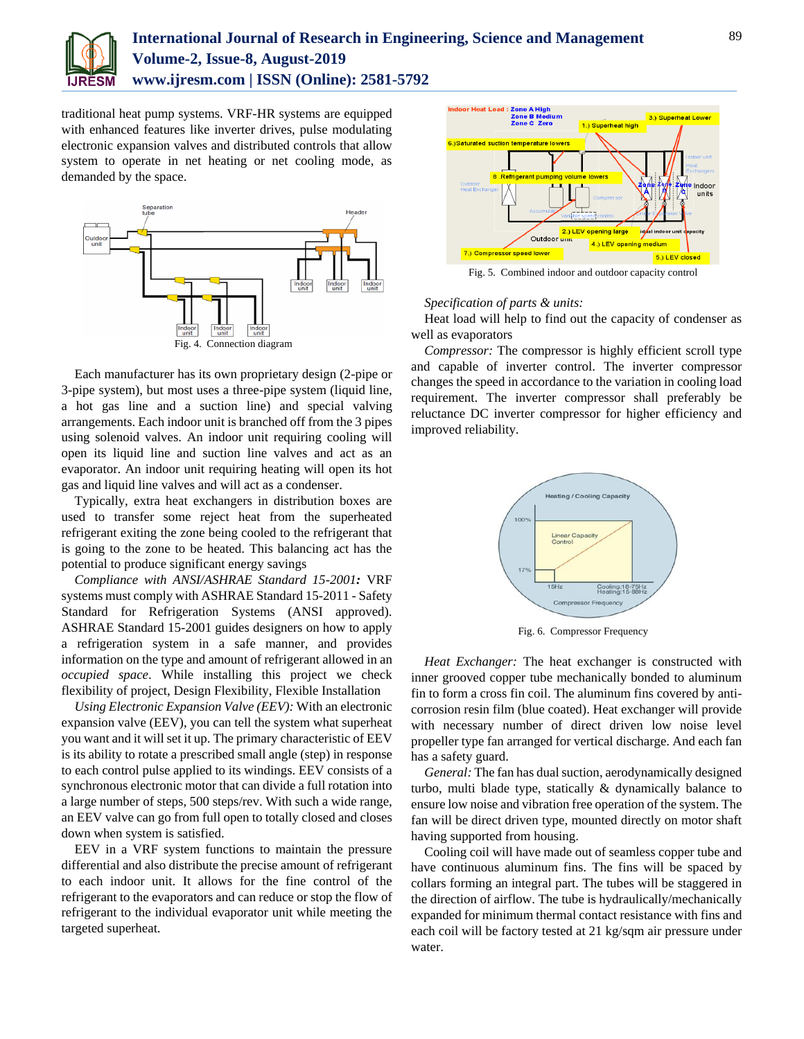

# **International Journal of Research in Engineering, Science and Management Volume-2, Issue-8, August-2019 www.ijresm.com | ISSN (Online): 2581-5792**

traditional heat pump systems. VRF-HR systems are equipped with enhanced features like inverter drives, pulse modulating electronic expansion valves and distributed controls that allow system to operate in net heating or net cooling mode, as demanded by the space.



Each manufacturer has its own proprietary design (2-pipe or 3-pipe system), but most uses a three-pipe system (liquid line, a hot gas line and a suction line) and special valving arrangements. Each indoor unit is branched off from the 3 pipes using solenoid valves. An indoor unit requiring cooling will open its liquid line and suction line valves and act as an evaporator. An indoor unit requiring heating will open its hot gas and liquid line valves and will act as a condenser.

Typically, extra heat exchangers in distribution boxes are used to transfer some reject heat from the superheated refrigerant exiting the zone being cooled to the refrigerant that is going to the zone to be heated. This balancing act has the potential to produce significant energy savings

*Compliance with ANSI/ASHRAE Standard 15-2001:* VRF systems must comply with ASHRAE Standard 15-2011 - Safety Standard for Refrigeration Systems (ANSI approved). ASHRAE Standard 15-2001 guides designers on how to apply a refrigeration system in a safe manner, and provides information on the type and amount of refrigerant allowed in an *occupied space*. While installing this project we check flexibility of project, Design Flexibility, Flexible Installation

*Using Electronic Expansion Valve (EEV):* With an electronic expansion valve (EEV), you can tell the system what superheat you want and it will set it up. The primary characteristic of EEV is its ability to rotate a prescribed small angle (step) in response to each control pulse applied to its windings. EEV consists of a synchronous electronic motor that can divide a full rotation into a large number of steps, 500 steps/rev. With such a wide range, an EEV valve can go from full open to totally closed and closes down when system is satisfied.

EEV in a VRF system functions to maintain the pressure differential and also distribute the precise amount of refrigerant to each indoor unit. It allows for the fine control of the refrigerant to the evaporators and can reduce or stop the flow of refrigerant to the individual evaporator unit while meeting the targeted superheat.



## *Specification of parts & units:*

Heat load will help to find out the capacity of condenser as well as evaporators

*Compressor:* The compressor is highly efficient scroll type and capable of inverter control. The inverter compressor changes the speed in accordance to the variation in cooling load requirement. The inverter compressor shall preferably be reluctance DC inverter compressor for higher efficiency and improved reliability.



Fig. 6. Compressor Frequency

*Heat Exchanger:* The heat exchanger is constructed with inner grooved copper tube mechanically bonded to aluminum fin to form a cross fin coil. The aluminum fins covered by anticorrosion resin film (blue coated). Heat exchanger will provide with necessary number of direct driven low noise level propeller type fan arranged for vertical discharge. And each fan has a safety guard.

*General:* The fan has dual suction, aerodynamically designed turbo, multi blade type, statically & dynamically balance to ensure low noise and vibration free operation of the system. The fan will be direct driven type, mounted directly on motor shaft having supported from housing.

Cooling coil will have made out of seamless copper tube and have continuous aluminum fins. The fins will be spaced by collars forming an integral part. The tubes will be staggered in the direction of airflow. The tube is hydraulically/mechanically expanded for minimum thermal contact resistance with fins and each coil will be factory tested at 21 kg/sqm air pressure under water.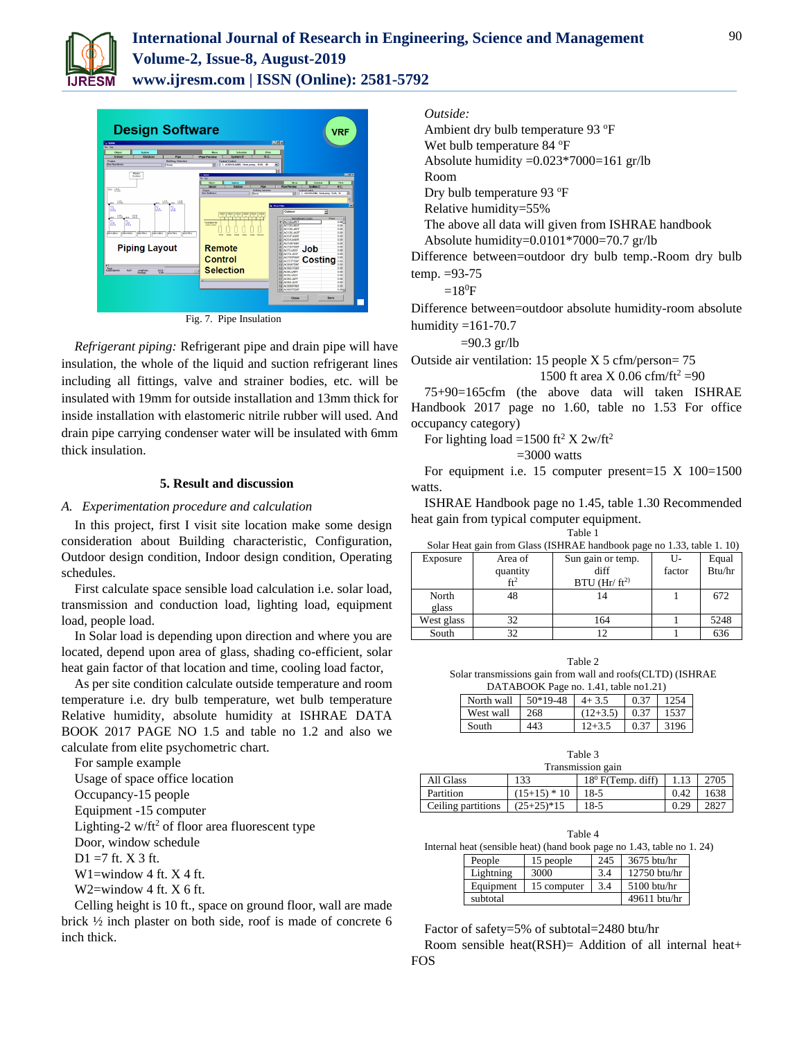



Fig. 7. Pipe Insulation

*Refrigerant piping:* Refrigerant pipe and drain pipe will have insulation, the whole of the liquid and suction refrigerant lines including all fittings, valve and strainer bodies, etc. will be insulated with 19mm for outside installation and 13mm thick for inside installation with elastomeric nitrile rubber will used. And drain pipe carrying condenser water will be insulated with 6mm thick insulation.

# **5. Result and discussion**

### *A. Experimentation procedure and calculation*

In this project, first I visit site location make some design consideration about Building characteristic, Configuration, Outdoor design condition, Indoor design condition, Operating schedules.

First calculate space sensible load calculation i.e. solar load, transmission and conduction load, lighting load, equipment load, people load.

In Solar load is depending upon direction and where you are located, depend upon area of glass, shading co-efficient, solar heat gain factor of that location and time, cooling load factor,

As per site condition calculate outside temperature and room temperature i.e. dry bulb temperature, wet bulb temperature Relative humidity, absolute humidity at ISHRAE DATA BOOK 2017 PAGE NO 1.5 and table no 1.2 and also we calculate from elite psychometric chart.

| For sample example                                          |
|-------------------------------------------------------------|
| Usage of space office location                              |
| Occupancy-15 people                                         |
| Equipment -15 computer                                      |
| Lighting-2 w/ft <sup>2</sup> of floor area fluorescent type |
| Door, window schedule                                       |
| $D1 = 7$ ft. X 3 ft.                                        |
| W1=window 4 ft. $X$ 4 ft.                                   |
| W2=window 4 ft. $X$ 6 ft.                                   |
| $C.11$ , 1. $1.1.1.1$ , 1. $0.1.1.1$                        |

Celling height is 10 ft., space on ground floor, wall are made brick ½ inch plaster on both side, roof is made of concrete 6 inch thick.

# *Outside:*

Ambient dry bulb temperature 93 °F Wet bulb temperature 84 °F Absolute humidity =0.023\*7000=161 gr/lb Room Dry bulb temperature 93 °F Relative humidity=55% The above all data will given from ISHRAE handbook Absolute humidity=0.0101\*7000=70.7 gr/lb Difference between=outdoor dry bulb temp.-Room dry bulb temp. =93-75  $=18^{\circ}F$ 

Difference between=outdoor absolute humidity-room absolute humidity  $=161-70.7$ 

 $=90.3$  gr/lb

Outside air ventilation: 15 people X 5 cfm/person= 75

1500 ft area X 0.06 cfm/f
$$
t^2
$$
 =90

75+90=165cfm (the above data will taken ISHRAE Handbook 2017 page no 1.60, table no 1.53 For office occupancy category)

For lighting load =1500 ft<sup>2</sup> X  $2w/ft^2$ 

 $=3000$  watts

For equipment i.e. 15 computer present=15  $X$  100=1500 watts.

ISHRAE Handbook page no 1.45, table 1.30 Recommended heat gain from typical computer equipment.

Table 1

| Exposure   | Area of         | Sun gain or temp.          | U-     | Equal  |
|------------|-----------------|----------------------------|--------|--------|
|            | quantity        | diff                       | factor | Btu/hr |
|            | ft <sup>2</sup> | $BTU$ (Hr/ft <sup>2)</sup> |        |        |
| North      | 48              |                            |        | 672    |
| glass      |                 |                            |        |        |
| West glass | 32              | 164                        |        | 5248   |
| South      | 32              |                            |        | 636    |

Table 2

Solar transmissions gain from wall and roofs(CLTD) (ISHRAE DATABOOK Page no. 1.41, table no1.21)

| North wall | $50*19-48$ | $4 + 3.5$  | 0.37 | 1254 |
|------------|------------|------------|------|------|
| West wall  | 268        | $(12+3.5)$ | 0.37 | 1537 |
| South      | 443        | $12 + 3.5$ | 0.37 | 3196 |

| Transmission gain  |              |                      |      |      |  |
|--------------------|--------------|----------------------|------|------|--|
| All Glass          | 133          | $18^0$ F(Temp. diff) |      | 2705 |  |
| Partition          | $(15+15)*10$ | $18-5$               | 0.42 | 1638 |  |
| Ceiling partitions | $(25+25)*15$ | $18-5$               | 0.29 | 2827 |  |

|                                                                       |           | Table 4     |     |                |  |
|-----------------------------------------------------------------------|-----------|-------------|-----|----------------|--|
| Internal heat (sensible heat) (hand book page no 1.43, table no 1.24) |           |             |     |                |  |
|                                                                       | People    | 15 people   | 245 | $3675$ btu/hr  |  |
|                                                                       | Lightning | 3000        | 3.4 | 12750 btu/hr   |  |
|                                                                       | Equipment | 15 computer | 3.4 | $5100$ btu/hr  |  |
|                                                                       | subtotal  |             |     | $49611$ btu/hr |  |

Factor of safety=5% of subtotal=2480 btu/hr Room sensible heat(RSH)= Addition of all internal heat+ FOS